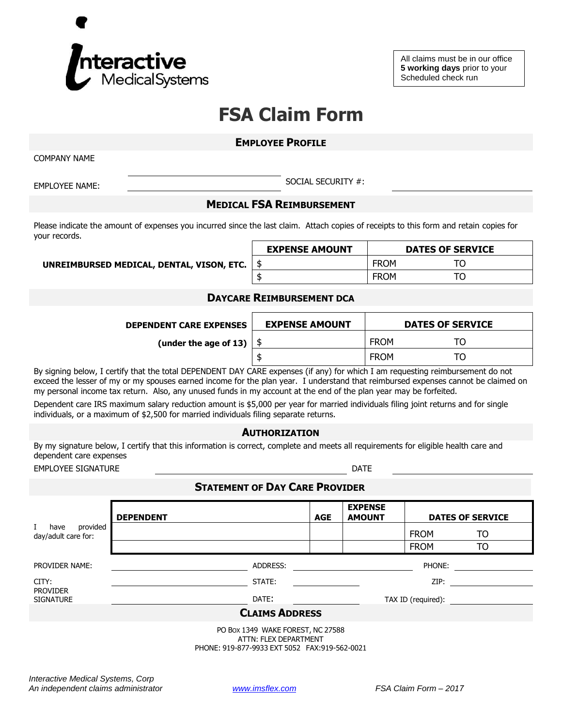

All claims must be in our office **5 working days** prior to your Scheduled check run

# **FSA Claim Form**

#### **EMPLOYEE PROFILE**

COMPANY NAME

EMPLOYEE NAME: SOCIAL SECURITY #:

### **MEDICAL FSA REIMBURSEMENT**

Please indicate the amount of expenses you incurred since the last claim. Attach copies of receipts to this form and retain copies for your records.

**UNREIMBURSED MEDICAL, DENTAL, VISON, ETC.** 

| <b>EXPENSE AMOUNT</b> | <b>DATES OF SERVICE</b> |  |  |  |
|-----------------------|-------------------------|--|--|--|
|                       | <b>FROM</b>             |  |  |  |
|                       | <b>FROM</b>             |  |  |  |

### **DAYCARE REIMBURSEMENT DCA**

| <b>DEPENDENT CARE EXPENSES</b> | <b>EXPENSE AMOUNT</b> | <b>DATES OF SERVICE</b> |         |
|--------------------------------|-----------------------|-------------------------|---------|
| (under the age of 13) $\vert$  |                       | <b>FROM</b>             | ⊤∩<br>ັ |
|                                |                       | <b>FROM</b>             | TO      |

By signing below, I certify that the total DEPENDENT DAY CARE expenses (if any) for which I am requesting reimbursement do not exceed the lesser of my or my spouses earned income for the plan year. I understand that reimbursed expenses cannot be claimed on my personal income tax return. Also, any unused funds in my account at the end of the plan year may be forfeited.

Dependent care IRS maximum salary reduction amount is \$5,000 per year for married individuals filing joint returns and for single individuals, or a maximum of \$2,500 for married individuals filing separate returns.

**AUTHORIZATION**

By my signature below, I certify that this information is correct, complete and meets all requirements for eligible health care and dependent care expenses

EMPLOYEE SIGNATURE **EXECUTE SIGNATURE** 

## **STATEMENT OF DAY CARE PROVIDER**

|                                                                                                                                                                                                                                                  | <b>DEPENDENT</b> |          | <b>AGE</b> | <b>EXPENSE</b><br><b>AMOUNT</b> | <b>DATES OF SERVICE</b> |    |  |  |  |  |
|--------------------------------------------------------------------------------------------------------------------------------------------------------------------------------------------------------------------------------------------------|------------------|----------|------------|---------------------------------|-------------------------|----|--|--|--|--|
| provided<br>L<br>have<br>day/adult care for:                                                                                                                                                                                                     |                  |          |            |                                 | <b>FROM</b>             | TO |  |  |  |  |
|                                                                                                                                                                                                                                                  |                  |          |            |                                 | <b>FROM</b>             | TO |  |  |  |  |
| <b>PROVIDER NAME:</b>                                                                                                                                                                                                                            |                  | ADDRESS: |            |                                 | PHONE:                  |    |  |  |  |  |
| CITY:                                                                                                                                                                                                                                            |                  | STATE:   |            |                                 | ZIP:                    |    |  |  |  |  |
| <b>PROVIDER</b><br><b>SIGNATURE</b>                                                                                                                                                                                                              | DATE:            |          |            | TAX ID (required):              |                         |    |  |  |  |  |
| <b>CLAIMS ADDRESS</b>                                                                                                                                                                                                                            |                  |          |            |                                 |                         |    |  |  |  |  |
| PO Box 1349 WAKE FOREST, NC 27588<br>ATTN: FLEX DEPARTMENT<br>PHONE: 919-877-9933 EXT 5052 FAX:919-562-0021                                                                                                                                      |                  |          |            |                                 |                         |    |  |  |  |  |
| $l_{11}$ ( $l_{22}$ and $l_{12}$ and $l_{13}$ and $l_{14}$ and $l_{15}$ and $l_{16}$ and $l_{17}$ and $l_{18}$ and $l_{19}$ and $l_{18}$ and $l_{19}$ and $l_{19}$ and $l_{19}$ and $l_{19}$ and $l_{19}$ and $l_{19}$ and $l_{19}$ and $l_{19}$ |                  |          |            |                                 |                         |    |  |  |  |  |